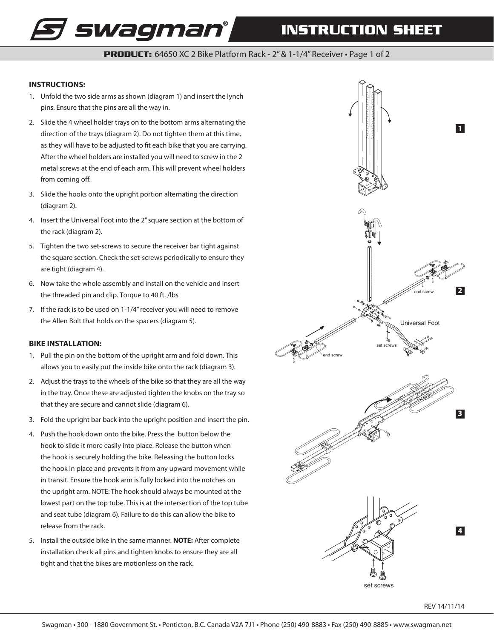# **INSTRUCTION SHEET**

**PRODUCT:** 64650 XC 2 Bike Platform Rack - 2" & 1-1/4" Receiver • Page 1 of 2

### **INSTRUCTIONS:**

1. Unfold the two side arms as shown (diagram 1) and insert the lynch pins. Ensure that the pins are all the way in.

*s swagman* 

- 2. Slide the 4 wheel holder trays on to the bottom arms alternating the direction of the trays (diagram 2). Do not tighten them at this time, as they will have to be adjusted to fit each bike that you are carrying. After the wheel holders are installed you will need to screw in the 2 metal screws at the end of each arm. This will prevent wheel holders from coming off.
- 3. Slide the hooks onto the upright portion alternating the direction (diagram 2).
- 4. Insert the Universal Foot into the 2" square section at the bottom of the rack (diagram 2).
- 5. Tighten the two set-screws to secure the receiver bar tight against the square section. Check the set-screws periodically to ensure they are tight (diagram 4).
- 6. Now take the whole assembly and install on the vehicle and insert the threaded pin and clip. Torque to 40 ft. /lbs
- 7. If the rack is to be used on 1-1/4" receiver you will need to remove the Allen Bolt that holds on the spacers (diagram 5).

#### **BIKE INSTALLATION:**

- 1. Pull the pin on the bottom of the upright arm and fold down. This allows you to easily put the inside bike onto the rack (diagram 3).
- 2. Adjust the trays to the wheels of the bike so that they are all the way in the tray. Once these are adjusted tighten the knobs on the tray so that they are secure and cannot slide (diagram 6).
- 3. Fold the upright bar back into the upright position and insert the pin.
- 4. Push the hook down onto the bike. Press the button below the hook to slide it more easily into place. Release the button when the hook is securely holding the bike. Releasing the button locks the hook in place and prevents it from any upward movement while in transit. Ensure the hook arm is fully locked into the notches on the upright arm. NOTE: The hook should always be mounted at the lowest part on the top tube. This is at the intersection of the top tube and seat tube (diagram 6). Failure to do this can allow the bike to release from the rack.
- 5. Install the outside bike in the same manner. **NOTE:** After complete installation check all pins and tighten knobs to ensure they are all tight and that the bikes are motionless on the rack.

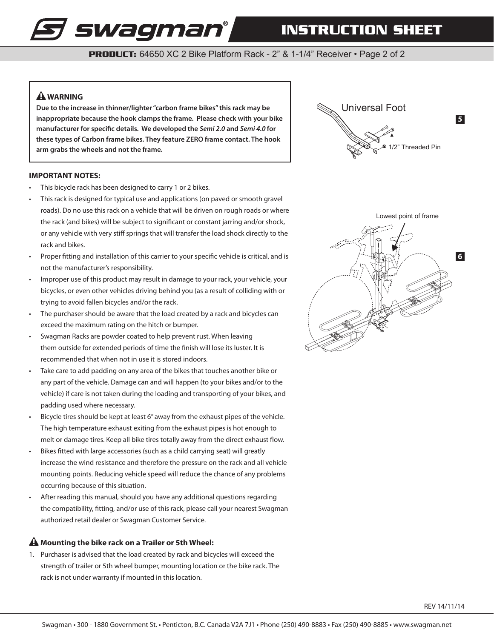## **INSTRUCTION SHEET**

**PRODUCT:** 64650 XC 2 Bike Platform Rack - 2" & 1-1/4" Receiver • Page 2 of 2

### **WARNING**

**Due to the increase in thinner/lighter "carbon frame bikes" this rack may be inappropriate because the hook clamps the frame. Please check with your bike manufacturer for specific details. We developed the** *Semi 2.0* **and** *Semi 4.0* **for these types of Carbon frame bikes. They feature ZERO frame contact. The hook arm grabs the wheels and not the frame.**



This bicycle rack has been designed to carry 1 or 2 bikes.

*s swagman* 

- This rack is designed for typical use and applications (on paved or smooth gravel roads). Do no use this rack on a vehicle that will be driven on rough roads or where the rack (and bikes) will be subject to significant or constant jarring and/or shock, or any vehicle with very stiff springs that will transfer the load shock directly to the rack and bikes.
- Proper fitting and installation of this carrier to your specific vehicle is critical, and is not the manufacturer's responsibility.
- Improper use of this product may result in damage to your rack, your vehicle, your bicycles, or even other vehicles driving behind you (as a result of colliding with or trying to avoid fallen bicycles and/or the rack.
- The purchaser should be aware that the load created by a rack and bicycles can exceed the maximum rating on the hitch or bumper.
- Swagman Racks are powder coated to help prevent rust. When leaving them outside for extended periods of time the finish will lose its luster. It is recommended that when not in use it is stored indoors.
- Take care to add padding on any area of the bikes that touches another bike or any part of the vehicle. Damage can and will happen (to your bikes and/or to the vehicle) if care is not taken during the loading and transporting of your bikes, and padding used where necessary.
- Bicycle tires should be kept at least 6" away from the exhaust pipes of the vehicle. The high temperature exhaust exiting from the exhaust pipes is hot enough to melt or damage tires. Keep all bike tires totally away from the direct exhaust flow.
- Bikes fitted with large accessories (such as a child carrying seat) will greatly increase the wind resistance and therefore the pressure on the rack and all vehicle mounting points. Reducing vehicle speed will reduce the chance of any problems occurring because of this situation.
- After reading this manual, should you have any additional questions regarding the compatibility, fitting, and/or use of this rack, please call your nearest Swagman authorized retail dealer or Swagman Customer Service.

### **A** Mounting the bike rack on a Trailer or 5th Wheel:

1. Purchaser is advised that the load created by rack and bicycles will exceed the strength of trailer or 5th wheel bumper, mounting location or the bike rack. The rack is not under warranty if mounted in this location.





REV 14/11/14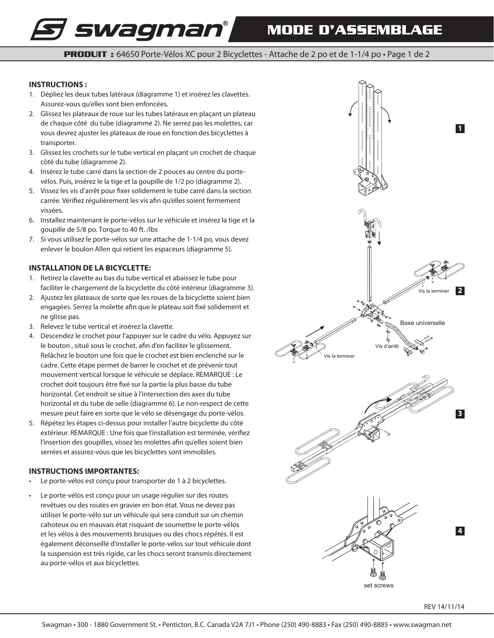# **MODE D'ASSEMBLAGE**

**PRODUIT** : 64650 Porte-Vélos XC pour 2 Bicyclettes - Attache de 2 po et de 1-1/4 po • Page 1 de 2

### **INSTRUCTIONS :**

1. Dépliez les deux tubes latéraux (diagramme 1) et insérez les clavettes. Assurez-vous qu'elles sont bien enfoncées.

*s swagman*°

- 2. Glissez les plateaux de roue sur les tubes latéraux en plaçant un plateau de chaque côté du tube (diagramme 2). Ne serrez pas les molettes, car vous devrez ajuster les plateaux de roue en fonction des bicyclettes à transporter.
- 3. Glissez les crochets sur le tube vertical en plaçant un crochet de chaque côté du tube (diagramme 2).
- 4. Insérez le tube carré dans la section de 2 pouces au centre du portevélos. Puis, insérez le la tige et la goupille de 1/2 po (diagramme 2).
- 5. Vissez les vis d'arrêt pour fixer solidement le tube carré dans la section carrée. Vérifiez régulièrement les vis afin qu'elles soient fermement vissées.
- 6. Installez maintenant le porte-vélos sur le véhicule et insérez la tige et la goupille de 5/8 po. Torque to 40 ft. /lbs
- 7. Si vous utilisez le porte-vélos sur une attache de 1-1/4 po, vous devez enlever le boulon Allen qui retient les espaceurs (diagramme 5).

### **INSTALLATION DE LA BICYCLETTE:**

- 1. Retirez la clavette au bas du tube vertical et abaissez le tube pour faciliter le chargement de la bicyclette du côté intérieur (diagramme 3).
- 2. Ajustez les plateaux de sorte que les roues de la bicyclette soient bien engagées. Serrez la molette afin que le plateau soit fixé solidement et ne glisse pas.
- 3. Relevez le tube vertical et insérez la clavette.
- 4. Descendez le crochet pour l'appuyer sur le cadre du vélo. Appuyez sur le bouton , situé sous le crochet, afin d'en faciliter le glissement. Relâchez le bouton une fois que le crochet est bien enclenché sur le cadre. Cette étape permet de barrer le crochet et de prévenir tout mouvement vertical lorsque le véhicule se déplace. REMARQUE : Le crochet doit toujours être fixé sur la partie la plus basse du tube horizontal. Cet endroit se situe à l'intersection des axes du tube horizontal et du tube de selle (diagramme 6). Le non-respect de cette mesure peut faire en sorte que le vélo se désengage du porte-vélos.
- 5. Répétez les étapes ci-dessus pour installer l'autre bicyclette du côté extérieur. REMARQUE : Une fois que l'installation est terminée, vérifiez l'insertion des goupilles, vissez les molettes afin qu'elles soient bien serrées et assurez-vous que les bicyclettes sont immobiles.

### **INSTRUCTIONS IMPORTANTES:**

- Le porte-vélos est conçu pour transporter de 1 à 2 bicyclettes.
- Le porte-vélos est conçu pour un usage régulier sur des routes revêtues ou des routes en gravier en bon état. Vous ne devez pas utiliser le porte-vélo sur un véhicule qui sera conduit sur un chemin cahoteux ou en mauvais état risquant de soumettre le porte-vélos et les vélos à des mouvements brusques ou des chocs répétés. Il est également déconseillé d'installer le porte-vélos sur tout véhicule dont la suspension est très rigide, car les chocs seront transmis directement au porte-vélos et aux bicyclettes.